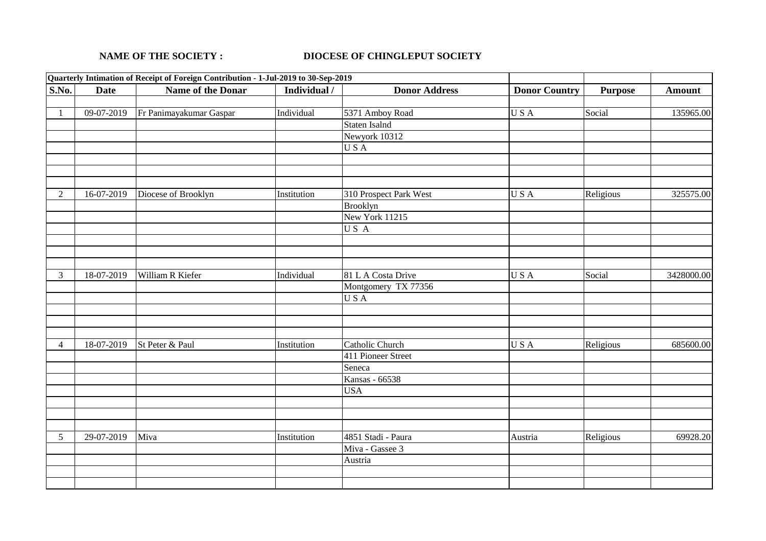## **NAME OF THE SOCIETY : DIOCESE OF CHINGLEPUT SOCIETY**

| Quarterly Intimation of Receipt of Foreign Contribution - 1-Jul-2019 to 30-Sep-2019 |             |                         |              |                        |                      |                |               |
|-------------------------------------------------------------------------------------|-------------|-------------------------|--------------|------------------------|----------------------|----------------|---------------|
| <b>S.No.</b>                                                                        | <b>Date</b> | Name of the Donar       | Individual / | <b>Donor Address</b>   | <b>Donor Country</b> | <b>Purpose</b> | <b>Amount</b> |
|                                                                                     |             |                         |              |                        |                      |                |               |
| 1                                                                                   | 09-07-2019  | Fr Panimayakumar Gaspar | Individual   | 5371 Amboy Road        | USA                  | Social         | 135965.00     |
|                                                                                     |             |                         |              | Staten Isalnd          |                      |                |               |
|                                                                                     |             |                         |              | Newyork 10312          |                      |                |               |
|                                                                                     |             |                         |              | USA                    |                      |                |               |
|                                                                                     |             |                         |              |                        |                      |                |               |
|                                                                                     |             |                         |              |                        |                      |                |               |
|                                                                                     |             |                         |              |                        |                      |                |               |
| 2                                                                                   | 16-07-2019  | Diocese of Brooklyn     | Institution  | 310 Prospect Park West | USA                  | Religious      | 325575.00     |
|                                                                                     |             |                         |              | <b>Brooklyn</b>        |                      |                |               |
|                                                                                     |             |                         |              | New York 11215         |                      |                |               |
|                                                                                     |             |                         |              | USA                    |                      |                |               |
|                                                                                     |             |                         |              |                        |                      |                |               |
|                                                                                     |             |                         |              |                        |                      |                |               |
|                                                                                     |             |                         |              |                        |                      |                |               |
| $\mathfrak{Z}$                                                                      | 18-07-2019  | William R Kiefer        | Individual   | 81 L A Costa Drive     | USA                  | Social         | 3428000.00    |
|                                                                                     |             |                         |              | Montgomery TX 77356    |                      |                |               |
|                                                                                     |             |                         |              | USA                    |                      |                |               |
|                                                                                     |             |                         |              |                        |                      |                |               |
|                                                                                     |             |                         |              |                        |                      |                |               |
|                                                                                     |             |                         |              |                        |                      |                |               |
| $\overline{4}$                                                                      | 18-07-2019  | St Peter & Paul         | Institution  | Catholic Church        | USA                  | Religious      | 685600.00     |
|                                                                                     |             |                         |              | 411 Pioneer Street     |                      |                |               |
|                                                                                     |             |                         |              | Seneca                 |                      |                |               |
|                                                                                     |             |                         |              | Kansas - 66538         |                      |                |               |
|                                                                                     |             |                         |              | <b>USA</b>             |                      |                |               |
|                                                                                     |             |                         |              |                        |                      |                |               |
|                                                                                     |             |                         |              |                        |                      |                |               |
|                                                                                     |             |                         |              |                        |                      |                |               |
| 5                                                                                   | 29-07-2019  | Miva                    | Institution  | 4851 Stadi - Paura     | Austria              | Religious      | 69928.20      |
|                                                                                     |             |                         |              | Miva - Gassee 3        |                      |                |               |
|                                                                                     |             |                         |              | Austria                |                      |                |               |
|                                                                                     |             |                         |              |                        |                      |                |               |
|                                                                                     |             |                         |              |                        |                      |                |               |